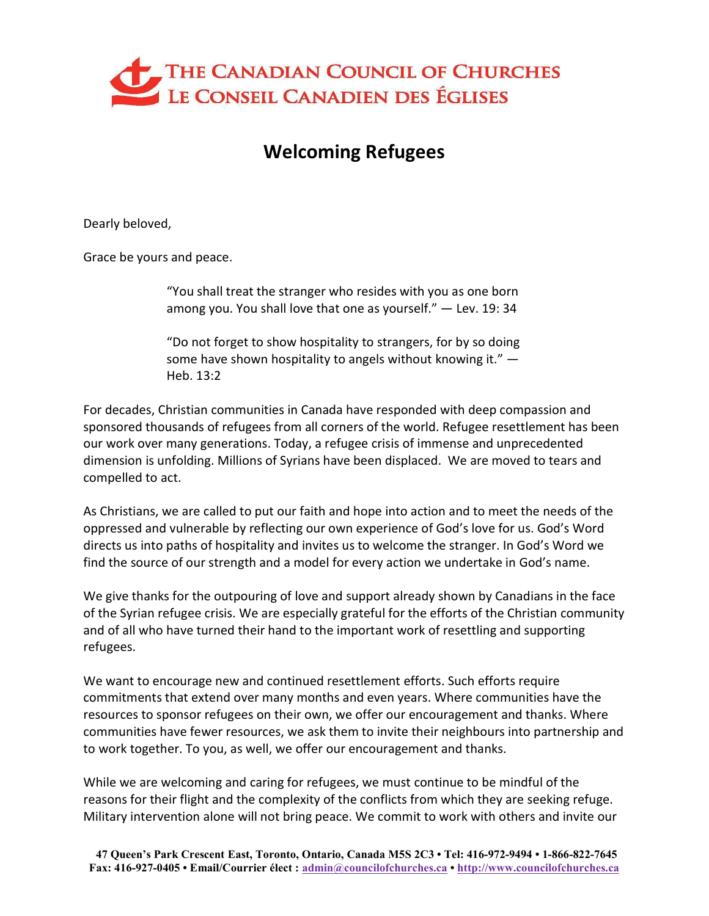

## Welcoming Refugees

Dearly beloved,

Grace be yours and peace.

"You shall treat the stranger who resides with you as one born among you. You shall love that one as yourself." — Lev. 19: 34

"Do not forget to show hospitality to strangers, for by so doing some have shown hospitality to angels without knowing it."  $-$ Heb. 13:2

For decades, Christian communities in Canada have responded with deep compassion and sponsored thousands of refugees from all corners of the world. Refugee resettlement has been our work over many generations. Today, a refugee crisis of immense and unprecedented dimension is unfolding. Millions of Syrians have been displaced. We are moved to tears and compelled to act.

As Christians, we are called to put our faith and hope into action and to meet the needs of the oppressed and vulnerable by reflecting our own experience of God's love for us. God's Word directs us into paths of hospitality and invites us to welcome the stranger. In God's Word we find the source of our strength and a model for every action we undertake in God's name.

We give thanks for the outpouring of love and support already shown by Canadians in the face of the Syrian refugee crisis. We are especially grateful for the efforts of the Christian community and of all who have turned their hand to the important work of resettling and supporting refugees.

We want to encourage new and continued resettlement efforts. Such efforts require commitments that extend over many months and even years. Where communities have the resources to sponsor refugees on their own, we offer our encouragement and thanks. Where communities have fewer resources, we ask them to invite their neighbours into partnership and to work together. To you, as well, we offer our encouragement and thanks.

While we are welcoming and caring for refugees, we must continue to be mindful of the reasons for their flight and the complexity of the conflicts from which they are seeking refuge. Military intervention alone will not bring peace. We commit to work with others and invite our